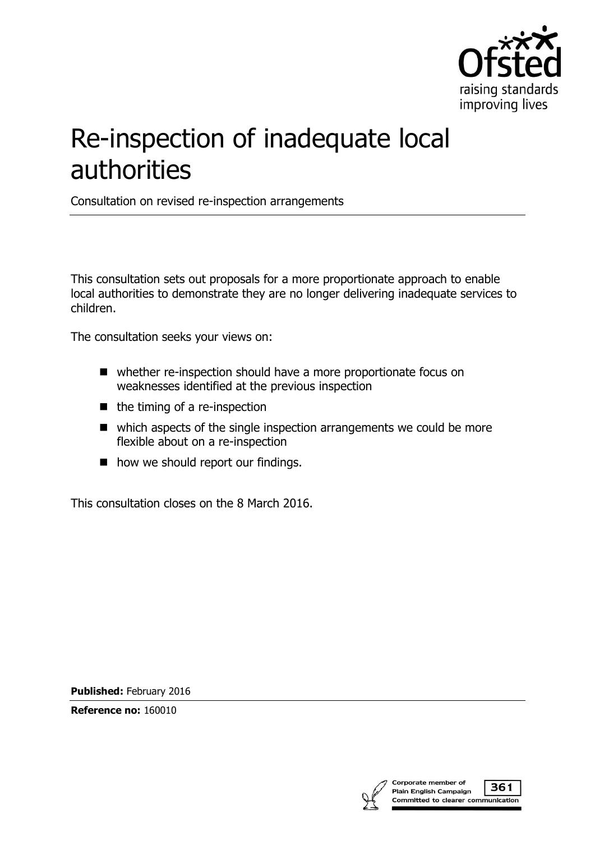

# Re-inspection of inadequate local authorities

Consultation on revised re-inspection arrangements

This consultation sets out proposals for a more proportionate approach to enable local authorities to demonstrate they are no longer delivering inadequate services to children.

The consultation seeks your views on:

- whether re-inspection should have a more proportionate focus on weaknesses identified at the previous inspection
- $\blacksquare$  the timing of a re-inspection
- which aspects of the single inspection arrangements we could be more flexible about on a re-inspection
- how we should report our findings.

This consultation closes on the 8 March 2016.

**Published:** February 2016

**Reference no:** 160010

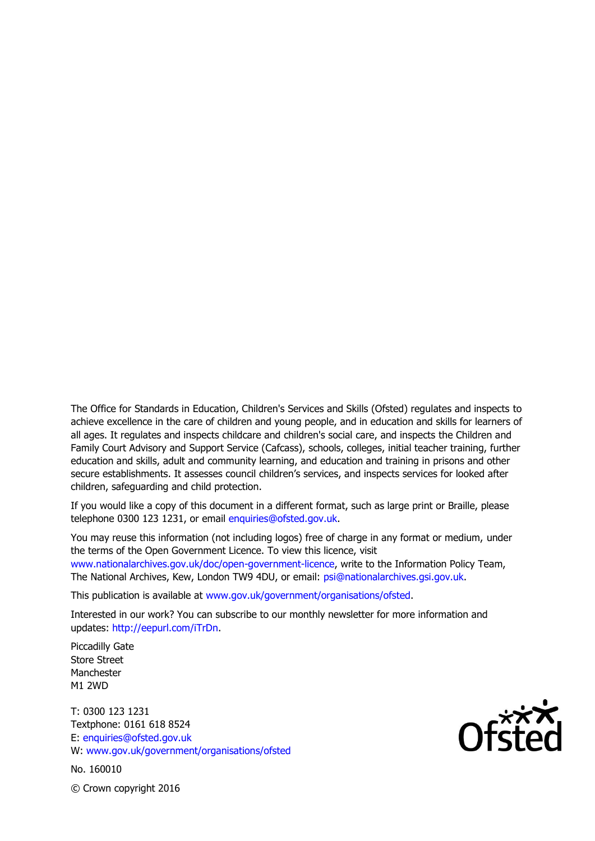The Office for Standards in Education, Children's Services and Skills (Ofsted) regulates and inspects to achieve excellence in the care of children and young people, and in education and skills for learners of all ages. It regulates and inspects childcare and children's social care, and inspects the Children and Family Court Advisory and Support Service (Cafcass), schools, colleges, initial teacher training, further education and skills, adult and community learning, and education and training in prisons and other secure establishments. It assesses council children's services, and inspects services for looked after children, safeguarding and child protection.

If you would like a copy of this document in a different format, such as large print or Braille, please telephone 0300 123 1231, or email enquiries@ofsted.gov.uk.

You may reuse this information (not including logos) free of charge in any format or medium, under the terms of the Open Government Licence. To view this licence, visit www.nationalarchives.gov.uk/doc/open-government-licence, write to the Information Policy Team, The National Archives, Kew, London TW9 4DU, or email: psi@nationalarchives.gsi.gov.uk.

This publication is available at www.gov.uk/government/organisations/ofsted.

Interested in our work? You can subscribe to our monthly newsletter for more information and updates: http://eepurl.com/iTrDn.

Piccadilly Gate Store Street Manchester M1 2WD

T: 0300 123 1231 Textphone: 0161 618 8524 E: enquiries@ofsted.gov.uk W: www.gov.uk/government/organisations/ofsted

No. 160010

 $\mathsf{Of}^{\mathsf{xxx}}_{\mathsf{C}}$ 

© Crown copyright 2016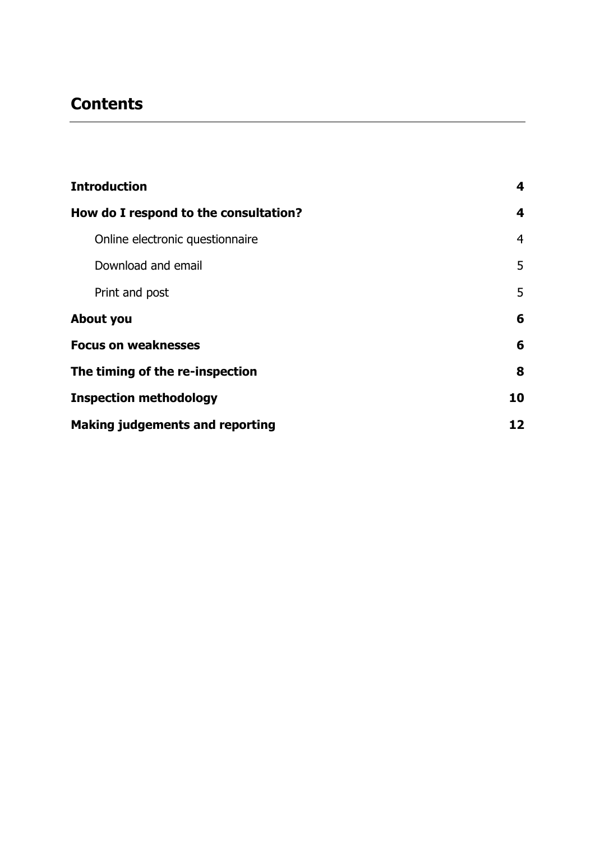# **Contents**

| <b>Introduction</b>                    | 4  |
|----------------------------------------|----|
| How do I respond to the consultation?  | 4  |
| Online electronic questionnaire        | 4  |
| Download and email                     | 5  |
| Print and post                         | 5  |
| About you                              | 6  |
| <b>Focus on weaknesses</b>             | 6  |
| The timing of the re-inspection        | 8  |
| <b>Inspection methodology</b>          | 10 |
| <b>Making judgements and reporting</b> | 12 |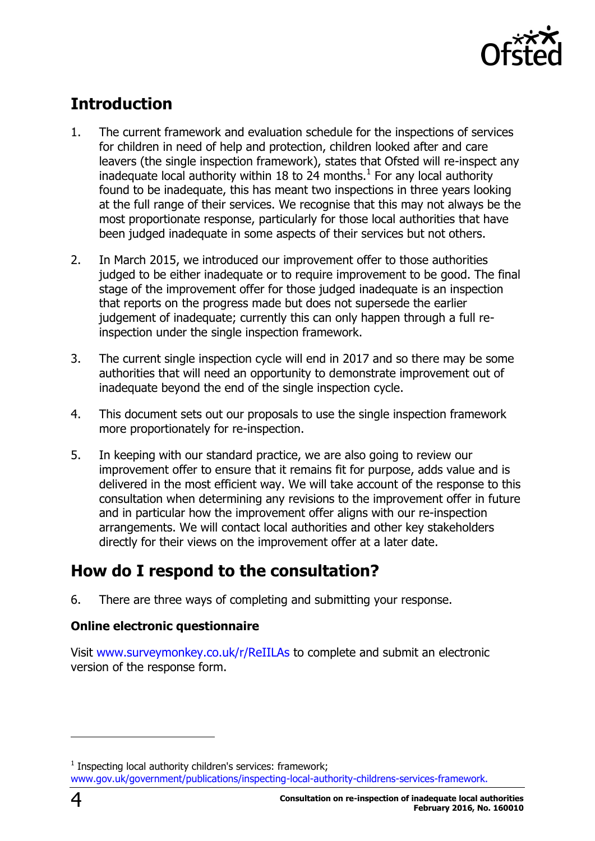

# <span id="page-3-0"></span>**Introduction**

- 1. The current framework and evaluation schedule for the inspections of services for children in need of help and protection, children looked after and care leavers (the single inspection framework), states that Ofsted will re-inspect any inadequate local authority within 18 to 24 months. $<sup>1</sup>$  For any local authority</sup> found to be inadequate, this has meant two inspections in three years looking at the full range of their services. We recognise that this may not always be the most proportionate response, particularly for those local authorities that have been judged inadequate in some aspects of their services but not others.
- 2. In March 2015, we introduced our improvement offer to those authorities judged to be either inadequate or to require improvement to be good. The final stage of the improvement offer for those judged inadequate is an inspection that reports on the progress made but does not supersede the earlier judgement of inadequate; currently this can only happen through a full reinspection under the single inspection framework.
- 3. The current single inspection cycle will end in 2017 and so there may be some authorities that will need an opportunity to demonstrate improvement out of inadequate beyond the end of the single inspection cycle.
- 4. This document sets out our proposals to use the single inspection framework more proportionately for re-inspection.
- 5. In keeping with our standard practice, we are also going to review our improvement offer to ensure that it remains fit for purpose, adds value and is delivered in the most efficient way. We will take account of the response to this consultation when determining any revisions to the improvement offer in future and in particular how the improvement offer aligns with our re-inspection arrangements. We will contact local authorities and other key stakeholders directly for their views on the improvement offer at a later date.

# <span id="page-3-1"></span>**How do I respond to the consultation?**

6. There are three ways of completing and submitting your response.

### <span id="page-3-2"></span>**Online electronic questionnaire**

Visit [www.surveymonkey.co.uk/r/ReIILAs](http://www.surveymonkey.co.uk/r/ReIILAs) to complete and submit an electronic version of the response form.

j

 $1$  Inspecting local authority children's services: framework; [www.gov.uk/government/publications/inspecting-local-authority-childrens-services-framework.](http://www.gov.uk/government/publications/inspecting-local-authority-childrens-services-framework)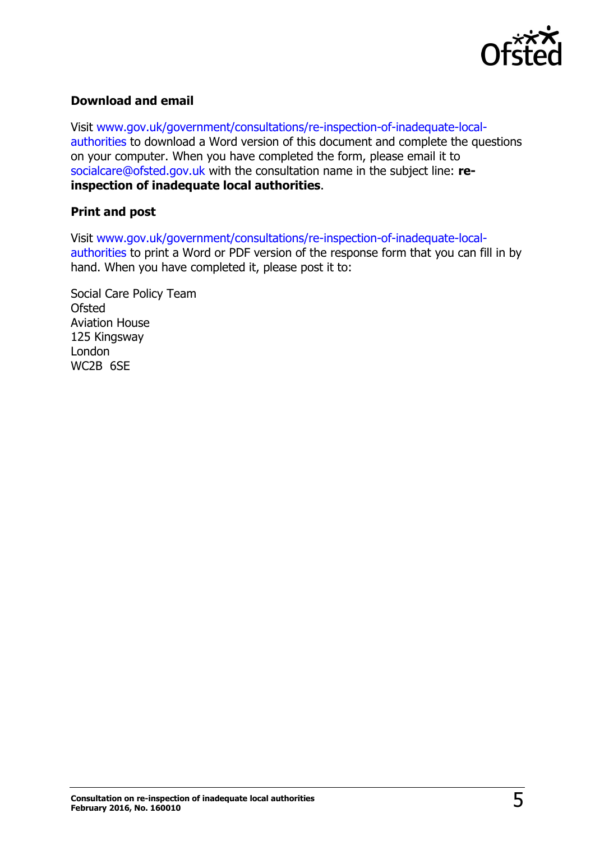

### <span id="page-4-0"></span>**Download and email**

Visit [www.gov.uk/government/consultations/re-inspection-of-inadequate-local](http://www.gov.uk/government/consultations/re-inspection-of-inadequate-local-authorities)[authorities](http://www.gov.uk/government/consultations/re-inspection-of-inadequate-local-authorities) to download a Word version of this document and complete the questions on your computer. When you have completed the form, please email it to [socialcare@ofsted.gov.uk](mailto:socialcare@ofsted.gov.uk) with the consultation name in the subject line: **reinspection of inadequate local authorities**.

### <span id="page-4-1"></span>**Print and post**

Visit [www.gov.uk/government/consultations/re-inspection-of-inadequate-local](http://www.gov.uk/government/consultations/re-inspection-of-inadequate-local-authorities)[authorities](http://www.gov.uk/government/consultations/re-inspection-of-inadequate-local-authorities) to print a Word or PDF version of the response form that you can fill in by hand. When you have completed it, please post it to:

Social Care Policy Team **Ofsted** Aviation House 125 Kingsway London WC2B 6SE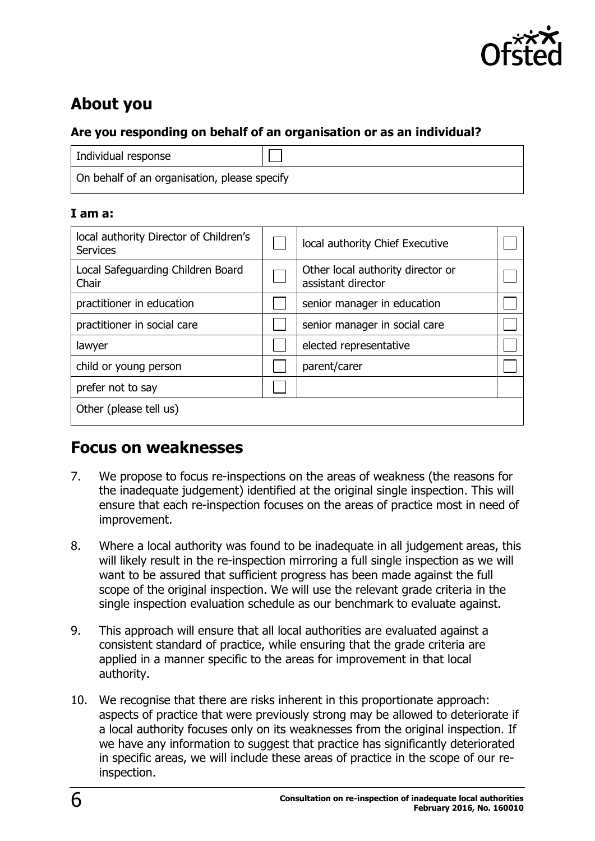

# <span id="page-5-0"></span>**About you**

### **Are you responding on behalf of an organisation or as an individual?**

| Individual response                          |  |
|----------------------------------------------|--|
| On behalf of an organisation, please specify |  |

### **I am a:**

| local authority Director of Children's<br><b>Services</b> | local authority Chief Executive                         |  |
|-----------------------------------------------------------|---------------------------------------------------------|--|
| Local Safeguarding Children Board<br>Chair                | Other local authority director or<br>assistant director |  |
| practitioner in education                                 | senior manager in education                             |  |
| practitioner in social care                               | senior manager in social care                           |  |
| lawyer                                                    | elected representative                                  |  |
| child or young person                                     | parent/carer                                            |  |
| prefer not to say                                         |                                                         |  |
| Other (please tell us)                                    |                                                         |  |

### <span id="page-5-1"></span>**Focus on weaknesses**

- 7. We propose to focus re-inspections on the areas of weakness (the reasons for the inadequate judgement) identified at the original single inspection. This will ensure that each re-inspection focuses on the areas of practice most in need of improvement.
- 8. Where a local authority was found to be inadequate in all judgement areas, this will likely result in the re-inspection mirroring a full single inspection as we will want to be assured that sufficient progress has been made against the full scope of the original inspection. We will use the relevant grade criteria in the single inspection evaluation schedule as our benchmark to evaluate against.
- 9. This approach will ensure that all local authorities are evaluated against a consistent standard of practice, while ensuring that the grade criteria are applied in a manner specific to the areas for improvement in that local authority.
- 10. We recognise that there are risks inherent in this proportionate approach: aspects of practice that were previously strong may be allowed to deteriorate if a local authority focuses only on its weaknesses from the original inspection. If we have any information to suggest that practice has significantly deteriorated in specific areas, we will include these areas of practice in the scope of our reinspection.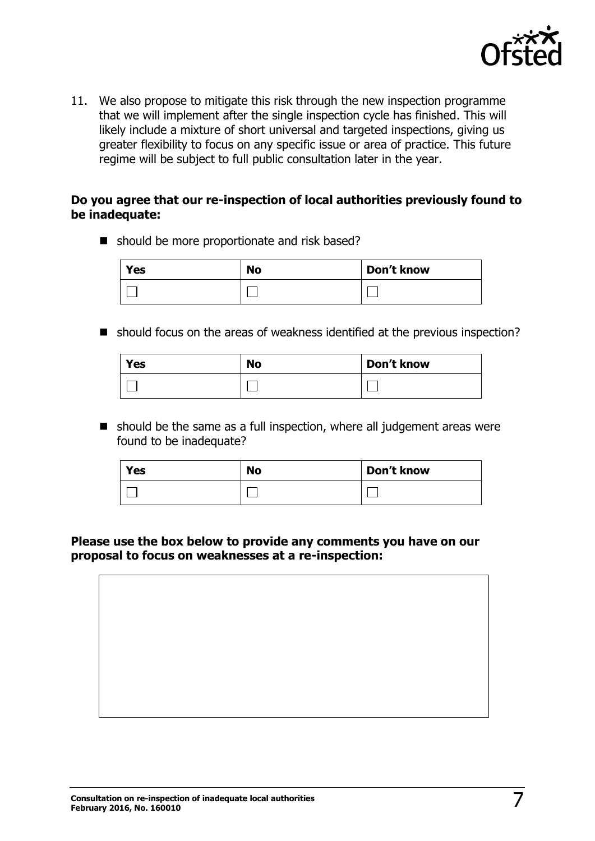

11. We also propose to mitigate this risk through the new inspection programme that we will implement after the single inspection cycle has finished. This will likely include a mixture of short universal and targeted inspections, giving us greater flexibility to focus on any specific issue or area of practice. This future regime will be subject to full public consultation later in the year.

### **Do you agree that our re-inspection of local authorities previously found to be inadequate:**

■ should be more proportionate and risk based?

| <b>Yes</b> | <b>No</b> | Don't know |
|------------|-----------|------------|
|            |           |            |

■ should focus on the areas of weakness identified at the previous inspection?

| Yes | <b>No</b> | Don't know |
|-----|-----------|------------|
|     |           |            |

 $\blacksquare$  should be the same as a full inspection, where all judgement areas were found to be inadequate?

| Yes | <b>No</b> | Don't know |
|-----|-----------|------------|
|     |           |            |

### **Please use the box below to provide any comments you have on our proposal to focus on weaknesses at a re-inspection:**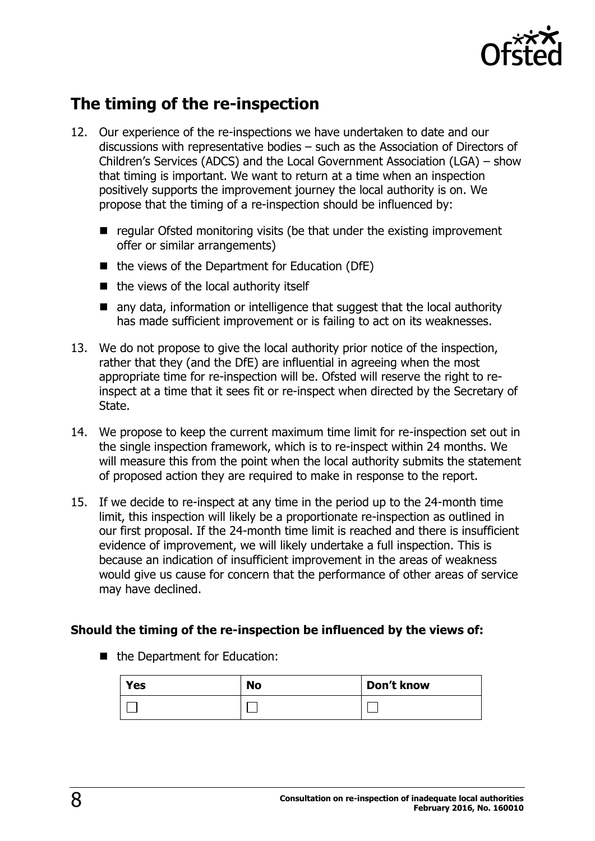

# <span id="page-7-0"></span>**The timing of the re-inspection**

- 12. Our experience of the re-inspections we have undertaken to date and our discussions with representative bodies – such as the Association of Directors of Children's Services (ADCS) and the Local Government Association (LGA) – show that timing is important. We want to return at a time when an inspection positively supports the improvement journey the local authority is on. We propose that the timing of a re-inspection should be influenced by:
	- $\blacksquare$  regular Ofsted monitoring visits (be that under the existing improvement offer or similar arrangements)
	- $\blacksquare$  the views of the Department for Education (DfE)
	- $\blacksquare$  the views of the local authority itself
	- any data, information or intelligence that suggest that the local authority has made sufficient improvement or is failing to act on its weaknesses.
- 13. We do not propose to give the local authority prior notice of the inspection, rather that they (and the DfE) are influential in agreeing when the most appropriate time for re-inspection will be. Ofsted will reserve the right to reinspect at a time that it sees fit or re-inspect when directed by the Secretary of State.
- 14. We propose to keep the current maximum time limit for re-inspection set out in the single inspection framework, which is to re-inspect within 24 months. We will measure this from the point when the local authority submits the statement of proposed action they are required to make in response to the report.
- 15. If we decide to re-inspect at any time in the period up to the 24-month time limit, this inspection will likely be a proportionate re-inspection as outlined in our first proposal. If the 24-month time limit is reached and there is insufficient evidence of improvement, we will likely undertake a full inspection. This is because an indication of insufficient improvement in the areas of weakness would give us cause for concern that the performance of other areas of service may have declined.

### **Should the timing of the re-inspection be influenced by the views of:**

■ the Department for Education:

| <b>Yes</b> | <b>No</b> | Don't know |
|------------|-----------|------------|
|            |           |            |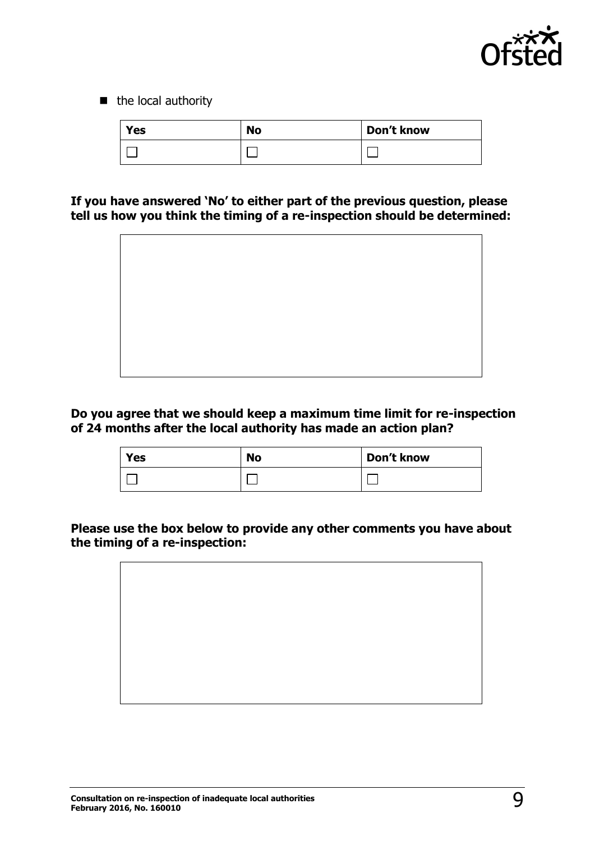

 $\blacksquare$  the local authority

| Yes | <b>No</b> | Don't know |
|-----|-----------|------------|
|     |           |            |

**If you have answered 'No' to either part of the previous question, please tell us how you think the timing of a re-inspection should be determined:**



**Do you agree that we should keep a maximum time limit for re-inspection of 24 months after the local authority has made an action plan?**

| <b>Yes</b> | <b>No</b> | Don't know |
|------------|-----------|------------|
|            |           |            |

**Please use the box below to provide any other comments you have about the timing of a re-inspection:**

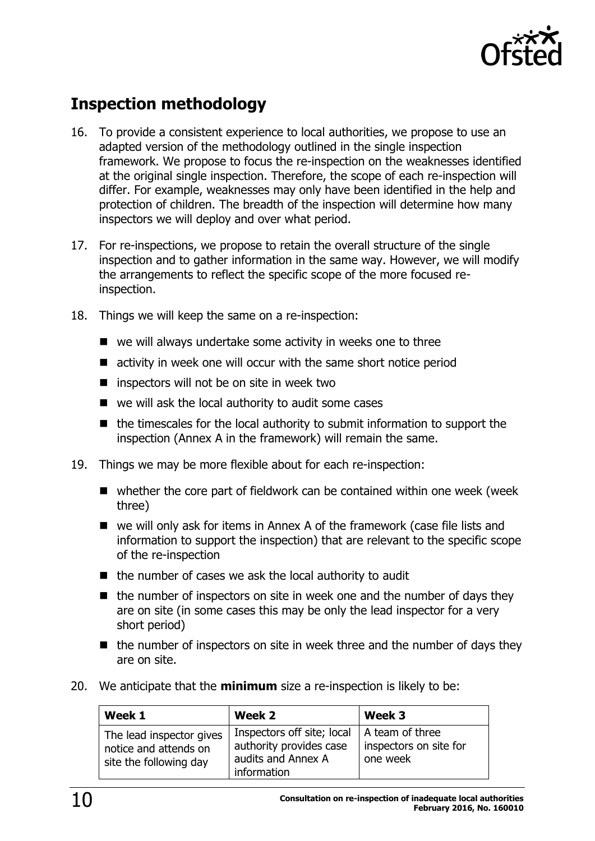

# <span id="page-9-0"></span>**Inspection methodology**

- 16. To provide a consistent experience to local authorities, we propose to use an adapted version of the methodology outlined in the single inspection framework. We propose to focus the re-inspection on the weaknesses identified at the original single inspection. Therefore, the scope of each re-inspection will differ. For example, weaknesses may only have been identified in the help and protection of children. The breadth of the inspection will determine how many inspectors we will deploy and over what period.
- 17. For re-inspections, we propose to retain the overall structure of the single inspection and to gather information in the same way. However, we will modify the arrangements to reflect the specific scope of the more focused reinspection.
- 18. Things we will keep the same on a re-inspection:
	- $\blacksquare$  we will always undertake some activity in weeks one to three
	- activity in week one will occur with the same short notice period
	- $\blacksquare$  inspectors will not be on site in week two
	- we will ask the local authority to audit some cases
	- $\blacksquare$  the timescales for the local authority to submit information to support the inspection (Annex A in the framework) will remain the same.
- 19. Things we may be more flexible about for each re-inspection:
	- whether the core part of fieldwork can be contained within one week (week three)
	- we will only ask for items in Annex A of the framework (case file lists and information to support the inspection) that are relevant to the specific scope of the re-inspection
	- $\blacksquare$  the number of cases we ask the local authority to audit
	- $\blacksquare$  the number of inspectors on site in week one and the number of days they are on site (in some cases this may be only the lead inspector for a very short period)
	- $\blacksquare$  the number of inspectors on site in week three and the number of days they are on site.
- 20. We anticipate that the **minimum** size a re-inspection is likely to be:

| Week 1                                                                      | Week 2                                                                                                         | Week 3                             |
|-----------------------------------------------------------------------------|----------------------------------------------------------------------------------------------------------------|------------------------------------|
| The lead inspector gives<br>notice and attends on<br>site the following day | Inspectors off site; local $ A $ team of three<br>authority provides case<br>audits and Annex A<br>information | inspectors on site for<br>one week |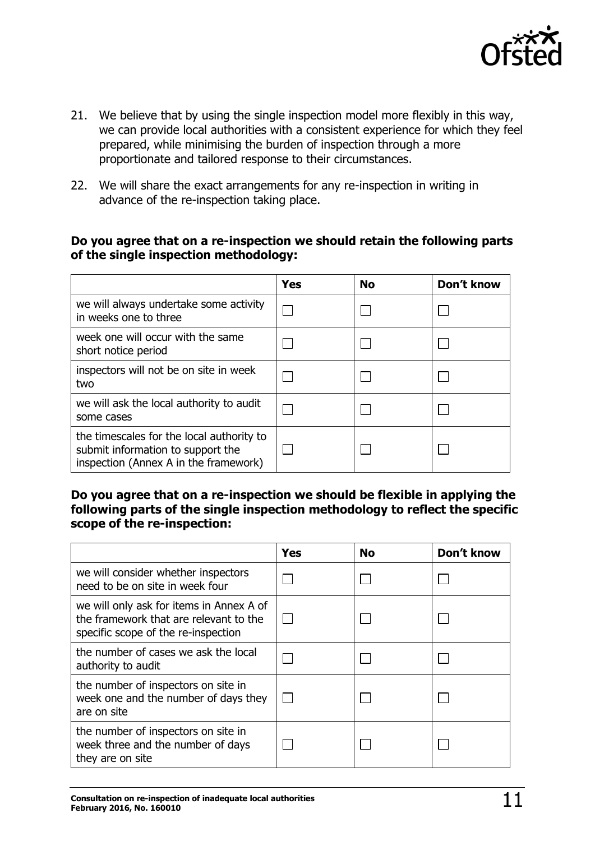

- 21. We believe that by using the single inspection model more flexibly in this way, we can provide local authorities with a consistent experience for which they feel prepared, while minimising the burden of inspection through a more proportionate and tailored response to their circumstances.
- 22. We will share the exact arrangements for any re-inspection in writing in advance of the re-inspection taking place.

### **Do you agree that on a re-inspection we should retain the following parts of the single inspection methodology:**

|                                                                                                                         | <b>Yes</b> | No | Don't know |
|-------------------------------------------------------------------------------------------------------------------------|------------|----|------------|
| we will always undertake some activity<br>in weeks one to three                                                         |            |    |            |
| week one will occur with the same<br>short notice period                                                                |            |    |            |
| inspectors will not be on site in week<br>two                                                                           |            |    |            |
| we will ask the local authority to audit<br>some cases                                                                  |            |    |            |
| the timescales for the local authority to<br>submit information to support the<br>inspection (Annex A in the framework) |            |    |            |

**Do you agree that on a re-inspection we should be flexible in applying the following parts of the single inspection methodology to reflect the specific scope of the re-inspection:**

|                                                                                                                           | <b>Yes</b> | <b>No</b> | Don't know |
|---------------------------------------------------------------------------------------------------------------------------|------------|-----------|------------|
| we will consider whether inspectors<br>need to be on site in week four                                                    |            |           |            |
| we will only ask for items in Annex A of<br>the framework that are relevant to the<br>specific scope of the re-inspection |            |           |            |
| the number of cases we ask the local<br>authority to audit                                                                |            |           |            |
| the number of inspectors on site in<br>week one and the number of days they<br>are on site                                |            |           |            |
| the number of inspectors on site in<br>week three and the number of days<br>they are on site                              |            |           |            |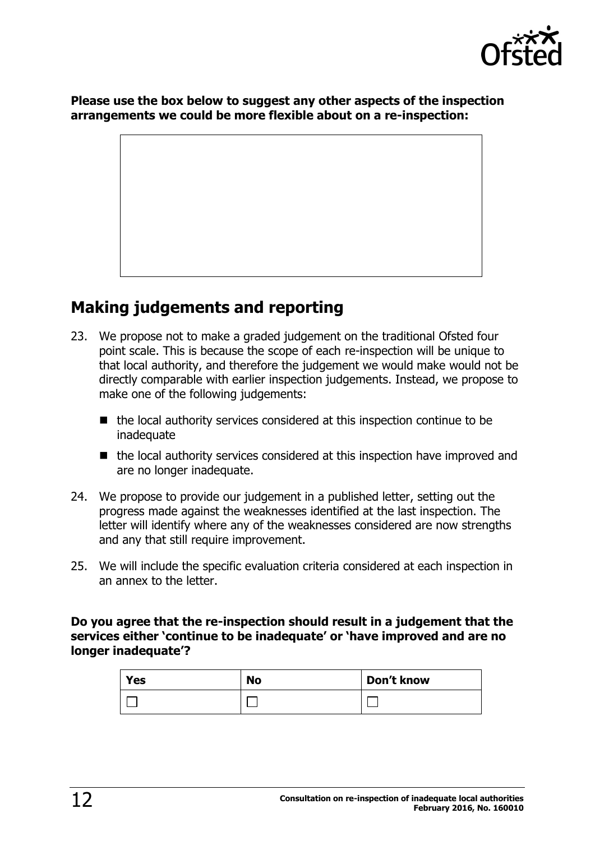

**Please use the box below to suggest any other aspects of the inspection arrangements we could be more flexible about on a re-inspection:**

## <span id="page-11-0"></span>**Making judgements and reporting**

- 23. We propose not to make a graded judgement on the traditional Ofsted four point scale. This is because the scope of each re-inspection will be unique to that local authority, and therefore the judgement we would make would not be directly comparable with earlier inspection judgements. Instead, we propose to make one of the following judgements:
	- $\blacksquare$  the local authority services considered at this inspection continue to be **inadequate**
	- the local authority services considered at this inspection have improved and are no longer inadequate.
- 24. We propose to provide our judgement in a published letter, setting out the progress made against the weaknesses identified at the last inspection. The letter will identify where any of the weaknesses considered are now strengths and any that still require improvement.
- 25. We will include the specific evaluation criteria considered at each inspection in an annex to the letter.

### **Do you agree that the re-inspection should result in a judgement that the services either 'continue to be inadequate' or 'have improved and are no longer inadequate'?**

| Yes | <b>No</b> | Don't know |
|-----|-----------|------------|
|     |           |            |